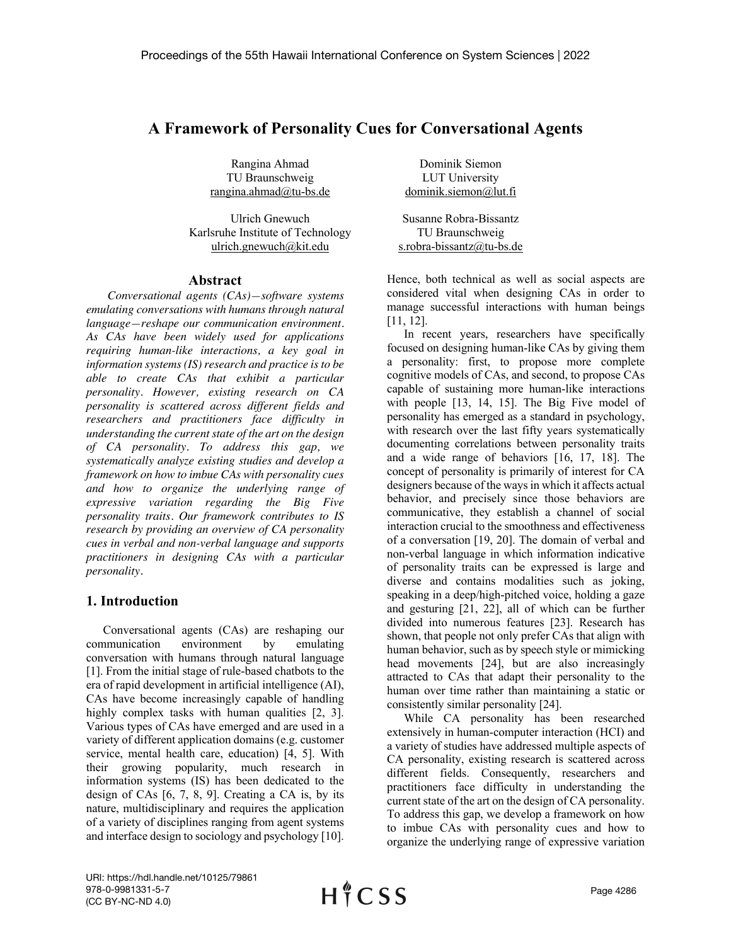## **A Framework of Personality Cues for Conversational Agents**

Rangina Ahmad TU Braunschweig rangina.ahmad@tu-bs.de

Ulrich Gnewuch Karlsruhe Institute of Technology ulrich.gnewuch@kit.edu

#### **Abstract**

*Conversational agents (CAs)—software systems emulating conversations with humans through natural language—reshape our communication environment. As CAs have been widely used for applications requiring human-like interactions, a key goal in information systems (IS) research and practice is to be able to create CAs that exhibit a particular personality. However, existing research on CA personality is scattered across different fields and researchers and practitioners face difficulty in understanding the current state of the art on the design of CA personality. To address this gap, we systematically analyze existing studies and develop a framework on how to imbue CAs with personality cues and how to organize the underlying range of expressive variation regarding the Big Five personality traits. Our framework contributes to IS research by providing an overview of CA personality cues in verbal and non-verbal language and supports practitioners in designing CAs with a particular personality.* 

## **1. Introduction**

Conversational agents (CAs) are reshaping our communication environment by emulating conversation with humans through natural language [1]. From the initial stage of rule-based chatbots to the era of rapid development in artificial intelligence (AI), CAs have become increasingly capable of handling highly complex tasks with human qualities [2, 3]. Various types of CAs have emerged and are used in a variety of different application domains (e.g. customer service, mental health care, education) [4, 5]. With their growing popularity, much research in information systems (IS) has been dedicated to the design of CAs [6, 7, 8, 9]. Creating a CA is, by its nature, multidisciplinary and requires the application of a variety of disciplines ranging from agent systems and interface design to sociology and psychology [10].

Dominik Siemon LUT University dominik.siemon@lut.fi

Susanne Robra-Bissantz TU Braunschweig s.robra-bissantz@tu-bs.de

Hence, both technical as well as social aspects are considered vital when designing CAs in order to manage successful interactions with human beings [11, 12].

In recent years, researchers have specifically focused on designing human-like CAs by giving them a personality: first, to propose more complete cognitive models of CAs, and second, to propose CAs capable of sustaining more human-like interactions with people [13, 14, 15]. The Big Five model of personality has emerged as a standard in psychology, with research over the last fifty years systematically documenting correlations between personality traits and a wide range of behaviors [16, 17, 18]. The concept of personality is primarily of interest for CA designers because of the ways in which it affects actual behavior, and precisely since those behaviors are communicative, they establish a channel of social interaction crucial to the smoothness and effectiveness of a conversation [19, 20]. The domain of verbal and non-verbal language in which information indicative of personality traits can be expressed is large and diverse and contains modalities such as joking, speaking in a deep/high-pitched voice, holding a gaze and gesturing [21, 22], all of which can be further divided into numerous features [23]. Research has shown, that people not only prefer CAs that align with human behavior, such as by speech style or mimicking head movements [24], but are also increasingly attracted to CAs that adapt their personality to the human over time rather than maintaining a static or consistently similar personality [24].

While CA personality has been researched extensively in human-computer interaction (HCI) and a variety of studies have addressed multiple aspects of CA personality, existing research is scattered across different fields. Consequently, researchers and practitioners face difficulty in understanding the current state of the art on the design of CA personality. To address this gap, we develop a framework on how to imbue CAs with personality cues and how to organize the underlying range of expressive variation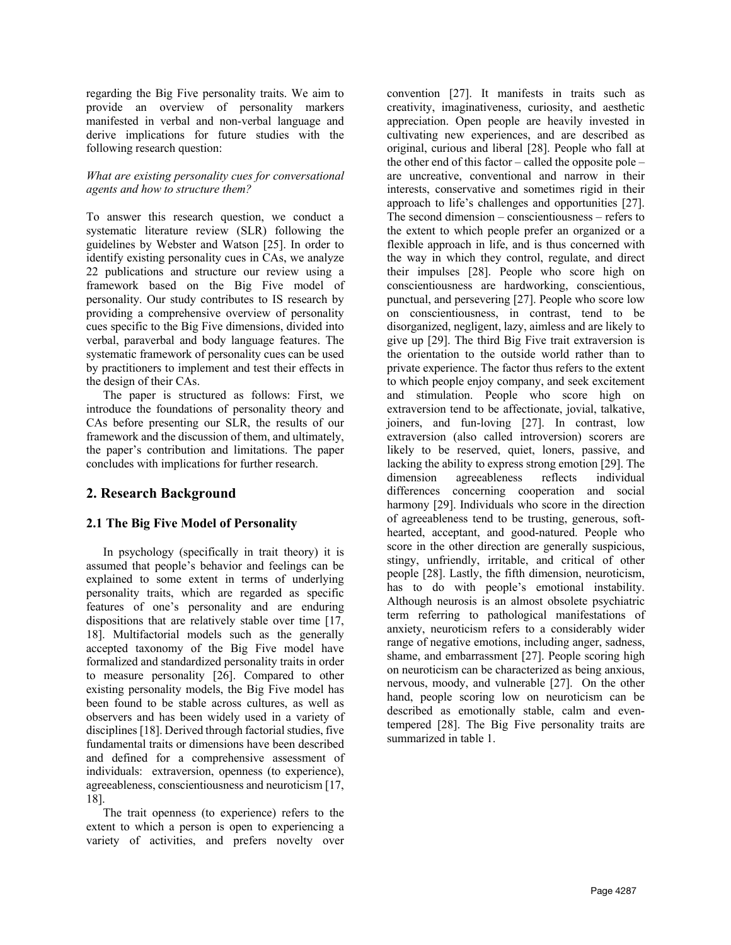regarding the Big Five personality traits. We aim to provide an overview of personality markers manifested in verbal and non-verbal language and derive implications for future studies with the following research question:

#### *What are existing personality cues for conversational agents and how to structure them?*

To answer this research question, we conduct a systematic literature review (SLR) following the guidelines by Webster and Watson [25]. In order to identify existing personality cues in CAs, we analyze 22 publications and structure our review using a framework based on the Big Five model of personality. Our study contributes to IS research by providing a comprehensive overview of personality cues specific to the Big Five dimensions, divided into verbal, paraverbal and body language features. The systematic framework of personality cues can be used by practitioners to implement and test their effects in the design of their CAs.

The paper is structured as follows: First, we introduce the foundations of personality theory and CAs before presenting our SLR, the results of our framework and the discussion of them, and ultimately, the paper's contribution and limitations. The paper concludes with implications for further research.

## **2. Research Background**

## **2.1 The Big Five Model of Personality**

In psychology (specifically in trait theory) it is assumed that people's behavior and feelings can be explained to some extent in terms of underlying personality traits, which are regarded as specific features of one's personality and are enduring dispositions that are relatively stable over time [17, 18]. Multifactorial models such as the generally accepted taxonomy of the Big Five model have formalized and standardized personality traits in order to measure personality [26]. Compared to other existing personality models, the Big Five model has been found to be stable across cultures, as well as observers and has been widely used in a variety of disciplines [18]. Derived through factorial studies, five fundamental traits or dimensions have been described and defined for a comprehensive assessment of individuals: extraversion, openness (to experience), agreeableness, conscientiousness and neuroticism [17, 18].

The trait openness (to experience) refers to the extent to which a person is open to experiencing a variety of activities, and prefers novelty over convention [27]. It manifests in traits such as creativity, imaginativeness, curiosity, and aesthetic appreciation. Open people are heavily invested in cultivating new experiences, and are described as original, curious and liberal [28]. People who fall at the other end of this factor – called the opposite pole – are uncreative, conventional and narrow in their interests, conservative and sometimes rigid in their approach to life's challenges and opportunities [27]. The second dimension – conscientiousness – refers to the extent to which people prefer an organized or a flexible approach in life, and is thus concerned with the way in which they control, regulate, and direct their impulses [28]. People who score high on conscientiousness are hardworking, conscientious, punctual, and persevering [27]. People who score low on conscientiousness, in contrast, tend to be disorganized, negligent, lazy, aimless and are likely to give up [29]. The third Big Five trait extraversion is the orientation to the outside world rather than to private experience. The factor thus refers to the extent to which people enjoy company, and seek excitement and stimulation. People who score high on extraversion tend to be affectionate, jovial, talkative, joiners, and fun-loving [27]. In contrast, low extraversion (also called introversion) scorers are likely to be reserved, quiet, loners, passive, and lacking the ability to express strong emotion [29]. The dimension agreeableness reflects individual differences concerning cooperation and social harmony [29]. Individuals who score in the direction of agreeableness tend to be trusting, generous, softhearted, acceptant, and good-natured. People who score in the other direction are generally suspicious, stingy, unfriendly, irritable, and critical of other people [28]. Lastly, the fifth dimension, neuroticism, has to do with people's emotional instability. Although neurosis is an almost obsolete psychiatric term referring to pathological manifestations of anxiety, neuroticism refers to a considerably wider range of negative emotions, including anger, sadness, shame, and embarrassment [27]. People scoring high on neuroticism can be characterized as being anxious, nervous, moody, and vulnerable [27]. On the other hand, people scoring low on neuroticism can be described as emotionally stable, calm and eventempered [28]. The Big Five personality traits are summarized in table 1.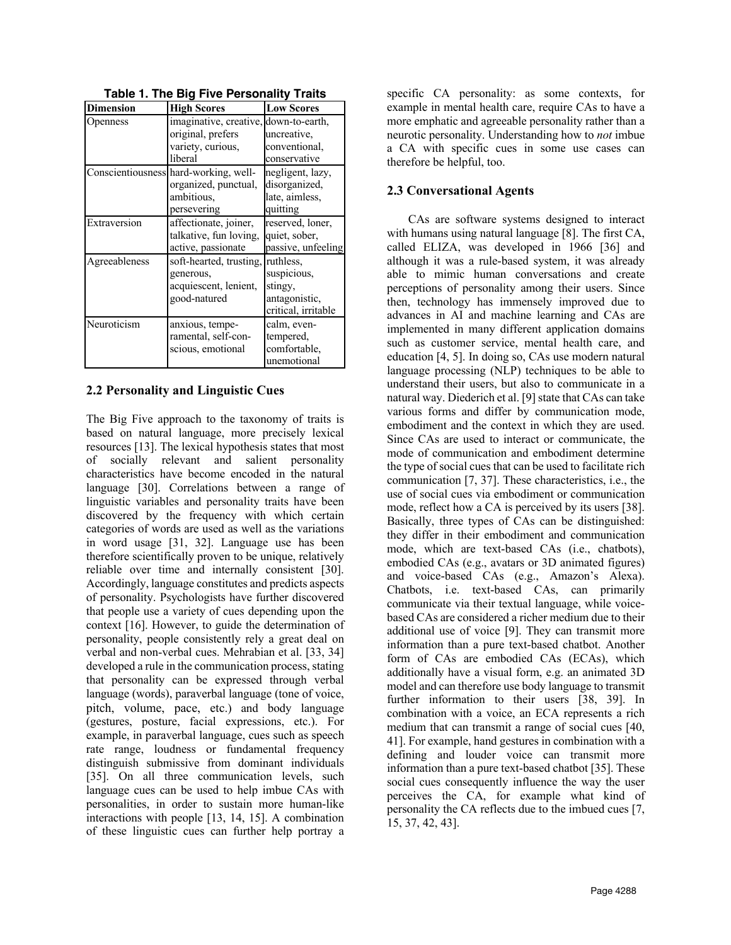| <b>Dimension</b> | <b>High Scores</b>                    | <b>Low Scores</b>   |
|------------------|---------------------------------------|---------------------|
| Openness         | imaginative, creative, down-to-earth, |                     |
|                  | original, prefers                     | uncreative,         |
|                  | variety, curious,                     | conventional,       |
|                  | liberal                               | conservative        |
|                  | Conscientiousness hard-working, well- | negligent, lazy,    |
|                  | organized, punctual,                  | disorganized,       |
|                  | ambitious,                            | late, aimless,      |
|                  | persevering                           | quitting            |
| Extraversion     | affectionate, joiner,                 | reserved, loner,    |
|                  | talkative, fun loving,                | quiet, sober,       |
|                  | active, passionate                    | passive, unfeeling  |
| Agreeableness    | soft-hearted, trusting,               | ruthless,           |
|                  | generous,                             | suspicious,         |
|                  | acquiescent, lenient,                 | stingy,             |
|                  | good-natured                          | antagonistic,       |
|                  |                                       | critical, irritable |
| Neuroticism      | anxious, tempe-                       | calm, even-         |
|                  | ramental, self-con-                   | tempered,           |
|                  | scious, emotional                     | comfortable,        |
|                  |                                       | unemotional         |

**Table 1. The Big Five Personality Traits**

## **2.2 Personality and Linguistic Cues**

The Big Five approach to the taxonomy of traits is based on natural language, more precisely lexical resources [13]. The lexical hypothesis states that most of socially relevant and salient personality characteristics have become encoded in the natural language [30]. Correlations between a range of linguistic variables and personality traits have been discovered by the frequency with which certain categories of words are used as well as the variations in word usage [31, 32]. Language use has been therefore scientifically proven to be unique, relatively reliable over time and internally consistent [30]. Accordingly, language constitutes and predicts aspects of personality. Psychologists have further discovered that people use a variety of cues depending upon the context [16]. However, to guide the determination of personality, people consistently rely a great deal on verbal and non-verbal cues. Mehrabian et al. [33, 34] developed a rule in the communication process, stating that personality can be expressed through verbal language (words), paraverbal language (tone of voice, pitch, volume, pace, etc.) and body language (gestures, posture, facial expressions, etc.). For example, in paraverbal language, cues such as speech rate range, loudness or fundamental frequency distinguish submissive from dominant individuals [35]. On all three communication levels, such language cues can be used to help imbue CAs with personalities, in order to sustain more human-like interactions with people [13, 14, 15]. A combination of these linguistic cues can further help portray a

specific CA personality: as some contexts, for example in mental health care, require CAs to have a more emphatic and agreeable personality rather than a neurotic personality. Understanding how to *not* imbue a CA with specific cues in some use cases can therefore be helpful, too.

## **2.3 Conversational Agents**

CAs are software systems designed to interact with humans using natural language [8]. The first CA, called ELIZA, was developed in 1966 [36] and although it was a rule-based system, it was already able to mimic human conversations and create perceptions of personality among their users. Since then, technology has immensely improved due to advances in AI and machine learning and CAs are implemented in many different application domains such as customer service, mental health care, and education [4, 5]. In doing so, CAs use modern natural language processing (NLP) techniques to be able to understand their users, but also to communicate in a natural way. Diederich et al. [9] state that CAs can take various forms and differ by communication mode, embodiment and the context in which they are used. Since CAs are used to interact or communicate, the mode of communication and embodiment determine the type of social cues that can be used to facilitate rich communication [7, 37]. These characteristics, i.e., the use of social cues via embodiment or communication mode, reflect how a CA is perceived by its users [38]. Basically, three types of CAs can be distinguished: they differ in their embodiment and communication mode, which are text-based CAs (i.e., chatbots), embodied CAs (e.g., avatars or 3D animated figures) and voice-based CAs (e.g., Amazon's Alexa). Chatbots, i.e. text-based CAs, can primarily communicate via their textual language, while voicebased CAs are considered a richer medium due to their additional use of voice [9]. They can transmit more information than a pure text-based chatbot. Another form of CAs are embodied CAs (ECAs), which additionally have a visual form, e.g. an animated 3D model and can therefore use body language to transmit further information to their users [38, 39]. In combination with a voice, an ECA represents a rich medium that can transmit a range of social cues [40, 41]. For example, hand gestures in combination with a defining and louder voice can transmit more information than a pure text-based chatbot [35]. These social cues consequently influence the way the user perceives the CA, for example what kind of personality the CA reflects due to the imbued cues [7, 15, 37, 42, 43].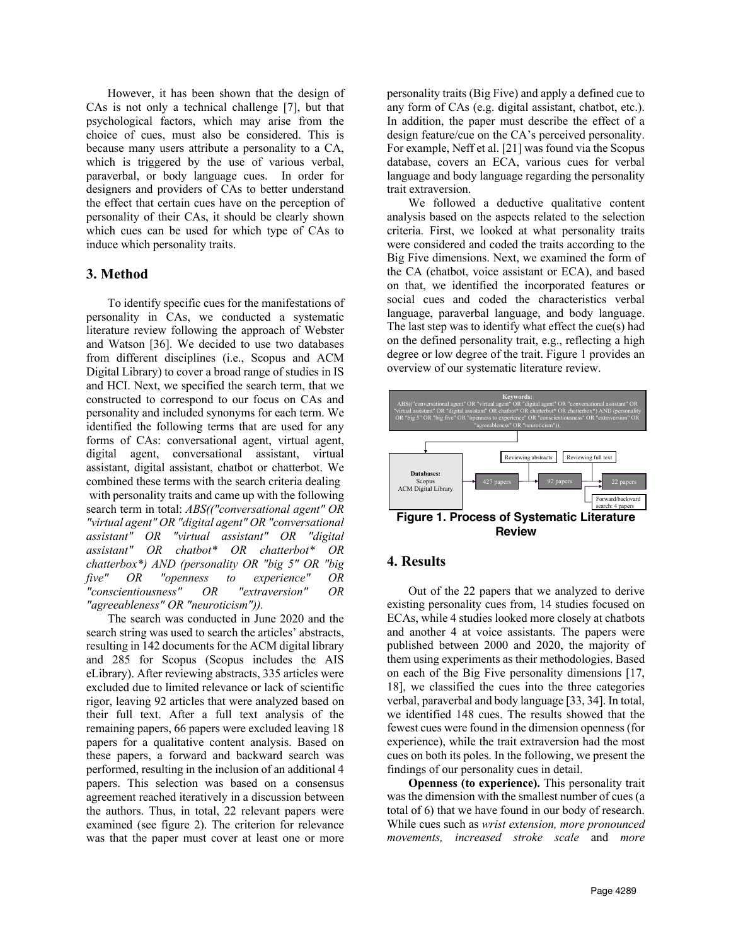However, it has been shown that the design of CAs is not only a technical challenge [7], but that psychological factors, which may arise from the choice of cues, must also be considered. This is because many users attribute a personality to a CA, which is triggered by the use of various verbal, paraverbal, or body language cues. In order for designers and providers of CAs to better understand the effect that certain cues have on the perception of personality of their CAs, it should be clearly shown which cues can be used for which type of CAs to induce which personality traits.

#### **3. Method**

To identify specific cues for the manifestations of personality in CAs, we conducted a systematic literature review following the approach of Webster and Watson [36]. We decided to use two databases from different disciplines (i.e., Scopus and ACM Digital Library) to cover a broad range of studies in IS and HCI. Next, we specified the search term, that we constructed to correspond to our focus on CAs and personality and included synonyms for each term. We identified the following terms that are used for any forms of CAs: conversational agent, virtual agent, digital agent, conversational assistant, virtual assistant, digital assistant, chatbot or chatterbot. We combined these terms with the search criteria dealing with personality traits and came up with the following search term in total: *ABS(("conversational agent" OR "virtual agent" OR "digital agent" OR "conversational assistant" OR "virtual assistant" OR "digital assistant" OR chatbot\* OR chatterbot\* OR chatterbox\*) AND (personality OR "big 5" OR "big five" OR "openness to experience" OR "conscientiousness" OR "extraversion" OR "agreeableness" OR "neuroticism")).*

The search was conducted in June 2020 and the search string was used to search the articles' abstracts, resulting in 142 documents for the ACM digital library and 285 for Scopus (Scopus includes the AIS eLibrary). After reviewing abstracts, 335 articles were excluded due to limited relevance or lack of scientific rigor, leaving 92 articles that were analyzed based on their full text. After a full text analysis of the remaining papers, 66 papers were excluded leaving 18 papers for a qualitative content analysis. Based on these papers, a forward and backward search was performed, resulting in the inclusion of an additional 4 papers. This selection was based on a consensus agreement reached iteratively in a discussion between the authors. Thus, in total, 22 relevant papers were examined (see figure 2). The criterion for relevance was that the paper must cover at least one or more personality traits (Big Five) and apply a defined cue to any form of CAs (e.g. digital assistant, chatbot, etc.). In addition, the paper must describe the effect of a design feature/cue on the CA's perceived personality. For example, Neff et al. [21] was found via the Scopus database, covers an ECA, various cues for verbal language and body language regarding the personality trait extraversion.

We followed a deductive qualitative content analysis based on the aspects related to the selection criteria. First, we looked at what personality traits were considered and coded the traits according to the Big Five dimensions. Next, we examined the form of the CA (chatbot, voice assistant or ECA), and based on that, we identified the incorporated features or social cues and coded the characteristics verbal language, paraverbal language, and body language. The last step was to identify what effect the cue(s) had on the defined personality trait, e.g., reflecting a high degree or low degree of the trait. Figure 1 provides an overview of our systematic literature review.



#### **Review**

#### **4. Results**

Out of the 22 papers that we analyzed to derive existing personality cues from, 14 studies focused on ECAs, while 4 studies looked more closely at chatbots and another 4 at voice assistants. The papers were published between 2000 and 2020, the majority of them using experiments as their methodologies. Based on each of the Big Five personality dimensions [17, 18], we classified the cues into the three categories verbal, paraverbal and body language [33, 34]. In total, we identified 148 cues. The results showed that the fewest cues were found in the dimension openness (for experience), while the trait extraversion had the most cues on both its poles. In the following, we present the findings of our personality cues in detail.

**Openness (to experience).** This personality trait was the dimension with the smallest number of cues (a total of 6) that we have found in our body of research. While cues such as *wrist extension, more pronounced movements, increased stroke scale* and *more*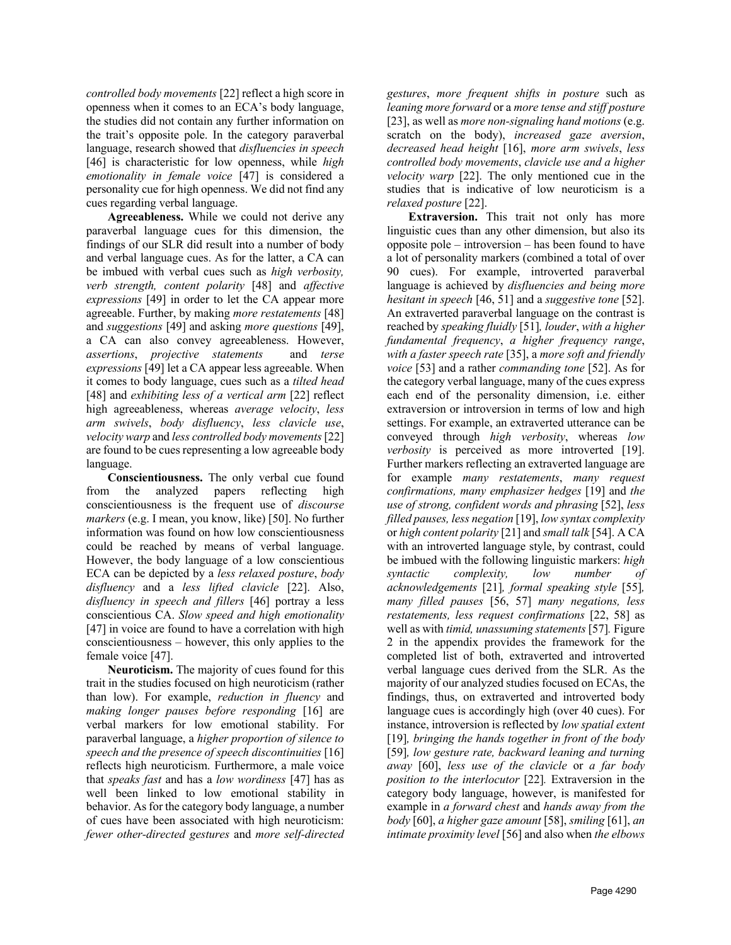*controlled body movements* [22] reflect a high score in openness when it comes to an ECA's body language, the studies did not contain any further information on the trait's opposite pole. In the category paraverbal language, research showed that *disfluencies in speech* [46] is characteristic for low openness, while *high emotionality in female voice* [47] is considered a personality cue for high openness. We did not find any cues regarding verbal language.

**Agreeableness.** While we could not derive any paraverbal language cues for this dimension, the findings of our SLR did result into a number of body and verbal language cues. As for the latter, a CA can be imbued with verbal cues such as *high verbosity, verb strength, content polarity* [48] and *affective expressions* [49] in order to let the CA appear more agreeable. Further, by making *more restatements* [48] and *suggestions* [49] and asking *more questions* [49], a CA can also convey agreeableness. However, *assertions*, *projective statements* and *terse expressions* [49] let a CA appear less agreeable. When it comes to body language, cues such as a *tilted head* [48] and *exhibiting less of a vertical arm* [22] reflect high agreeableness, whereas *average velocity*, *less arm swivels*, *body disfluency*, *less clavicle use*, *velocity warp* and *less controlled body movements* [22] are found to be cues representing a low agreeable body language.

**Conscientiousness.** The only verbal cue found from the analyzed papers reflecting high conscientiousness is the frequent use of *discourse markers* (e.g. I mean, you know, like) [50]. No further information was found on how low conscientiousness could be reached by means of verbal language. However, the body language of a low conscientious ECA can be depicted by a *less relaxed posture*, *body disfluency* and a *less lifted clavicle* [22]. Also, *disfluency in speech and fillers* [46] portray a less conscientious CA. *Slow speed and high emotionality* [47] in voice are found to have a correlation with high conscientiousness – however, this only applies to the female voice [47].

**Neuroticism.** The majority of cues found for this trait in the studies focused on high neuroticism (rather than low). For example, *reduction in fluency* and *making longer pauses before responding* [16] are verbal markers for low emotional stability. For paraverbal language, a *higher proportion of silence to speech and the presence of speech discontinuities* [16] reflects high neuroticism. Furthermore, a male voice that *speaks fast* and has a *low wordiness* [47] has as well been linked to low emotional stability in behavior. As for the category body language, a number of cues have been associated with high neuroticism: *fewer other-directed gestures* and *more self-directed* 

*gestures*, *more frequent shifts in posture* such as *leaning more forward* or a *more tense and stiff posture* [23], as well as *more non-signaling hand motions* (e.g. scratch on the body), *increased gaze aversion*, *decreased head height* [16], *more arm swivels*, *less controlled body movements*, *clavicle use and a higher velocity warp* [22]. The only mentioned cue in the studies that is indicative of low neuroticism is a *relaxed posture* [22].

**Extraversion.** This trait not only has more linguistic cues than any other dimension, but also its opposite pole – introversion – has been found to have a lot of personality markers (combined a total of over 90 cues). For example, introverted paraverbal language is achieved by *disfluencies and being more hesitant in speech* [46, 51] and a *suggestive tone* [52]. An extraverted paraverbal language on the contrast is reached by *speaking fluidly* [51]*, louder*, *with a higher fundamental frequency*, *a higher frequency range*, *with a faster speech rate* [35], a *more soft and friendly voice* [53] and a rather *commanding tone* [52]. As for the category verbal language, many of the cues express each end of the personality dimension, i.e. either extraversion or introversion in terms of low and high settings. For example, an extraverted utterance can be conveyed through *high verbosity*, whereas *low verbosity* is perceived as more introverted [19]. Further markers reflecting an extraverted language are for example *many restatements*, *many request confirmations, many emphasizer hedges* [19] and *the use of strong, confident words and phrasing* [52], *less filled pauses, less negation* [19], *low syntax complexity*  or *high content polarity* [21] and *small talk* [54]. A CA with an introverted language style, by contrast, could be imbued with the following linguistic markers: *high syntactic complexity, low number of acknowledgements* [21]*, formal speaking style* [55]*, many filled pauses* [56, 57] *many negations, less restatements, less request confirmations* [22, 58] as well as with *timid, unassuming statements* [57]*.* Figure 2 in the appendix provides the framework for the completed list of both, extraverted and introverted verbal language cues derived from the SLR. As the majority of our analyzed studies focused on ECAs, the findings, thus, on extraverted and introverted body language cues is accordingly high (over 40 cues). For instance, introversion is reflected by *low spatial extent* [19]*, bringing the hands together in front of the body* [59]*, low gesture rate, backward leaning and turning away* [60], *less use of the clavicle* or *a far body position to the interlocutor* [22]*.* Extraversion in the category body language, however, is manifested for example in *a forward chest* and *hands away from the body* [60], *a higher gaze amount* [58], *smiling* [61], *an intimate proximity level* [56] and also when *the elbows*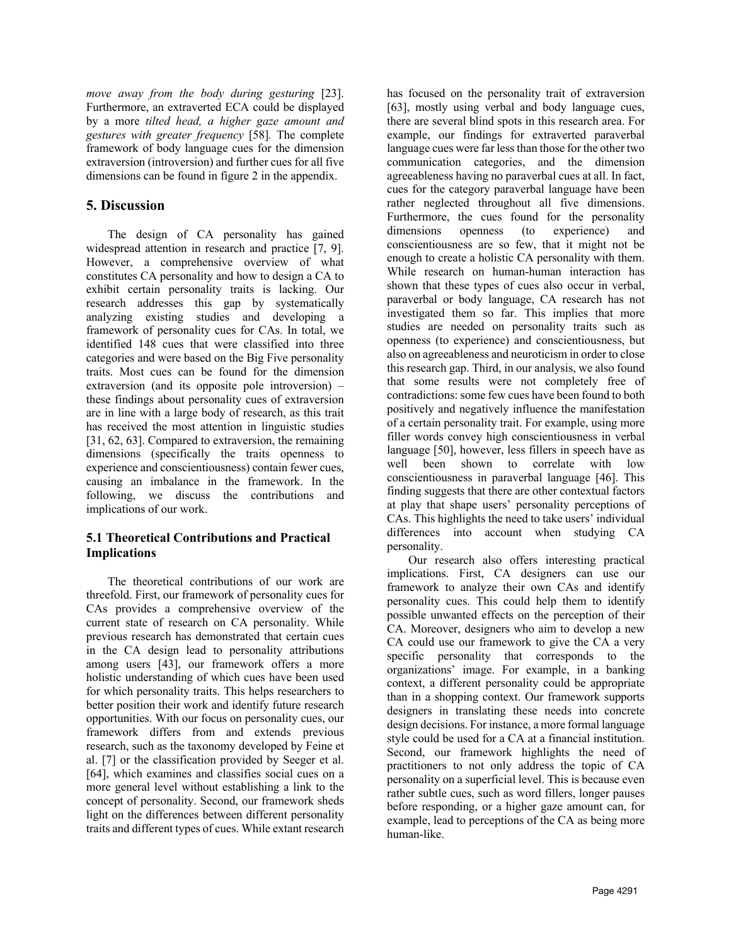*move away from the body during gesturing* [23]. Furthermore, an extraverted ECA could be displayed by a more *tilted head, a higher gaze amount and gestures with greater frequency* [58]*.* The complete framework of body language cues for the dimension extraversion (introversion) and further cues for all five dimensions can be found in figure 2 in the appendix.

## **5. Discussion**

The design of CA personality has gained widespread attention in research and practice [7, 9]. However, a comprehensive overview of what constitutes CA personality and how to design a CA to exhibit certain personality traits is lacking. Our research addresses this gap by systematically analyzing existing studies and developing a framework of personality cues for CAs. In total, we identified 148 cues that were classified into three categories and were based on the Big Five personality traits. Most cues can be found for the dimension extraversion (and its opposite pole introversion) – these findings about personality cues of extraversion are in line with a large body of research, as this trait has received the most attention in linguistic studies [31, 62, 63]. Compared to extraversion, the remaining dimensions (specifically the traits openness to experience and conscientiousness) contain fewer cues, causing an imbalance in the framework. In the following, we discuss the contributions and implications of our work.

## **5.1 Theoretical Contributions and Practical Implications**

The theoretical contributions of our work are threefold. First, our framework of personality cues for CAs provides a comprehensive overview of the current state of research on CA personality. While previous research has demonstrated that certain cues in the CA design lead to personality attributions among users [43], our framework offers a more holistic understanding of which cues have been used for which personality traits. This helps researchers to better position their work and identify future research opportunities. With our focus on personality cues, our framework differs from and extends previous research, such as the taxonomy developed by Feine et al. [7] or the classification provided by Seeger et al. [64], which examines and classifies social cues on a more general level without establishing a link to the concept of personality. Second, our framework sheds light on the differences between different personality traits and different types of cues. While extant research has focused on the personality trait of extraversion [63], mostly using verbal and body language cues, there are several blind spots in this research area. For example, our findings for extraverted paraverbal language cues were far less than those for the other two communication categories, and the dimension agreeableness having no paraverbal cues at all. In fact, cues for the category paraverbal language have been rather neglected throughout all five dimensions. Furthermore, the cues found for the personality dimensions openness (to experience) and conscientiousness are so few, that it might not be enough to create a holistic CA personality with them. While research on human-human interaction has shown that these types of cues also occur in verbal, paraverbal or body language, CA research has not investigated them so far. This implies that more studies are needed on personality traits such as openness (to experience) and conscientiousness, but also on agreeableness and neuroticism in order to close this research gap. Third, in our analysis, we also found that some results were not completely free of contradictions: some few cues have been found to both positively and negatively influence the manifestation of a certain personality trait. For example, using more filler words convey high conscientiousness in verbal language [50], however, less fillers in speech have as well been shown to correlate with low conscientiousness in paraverbal language [46]. This finding suggests that there are other contextual factors at play that shape users' personality perceptions of CAs. This highlights the need to take users' individual differences into account when studying CA personality.

Our research also offers interesting practical implications. First, CA designers can use our framework to analyze their own CAs and identify personality cues. This could help them to identify possible unwanted effects on the perception of their CA. Moreover, designers who aim to develop a new CA could use our framework to give the CA a very specific personality that corresponds to the organizations' image. For example, in a banking context, a different personality could be appropriate than in a shopping context. Our framework supports designers in translating these needs into concrete design decisions. For instance, a more formal language style could be used for a CA at a financial institution. Second, our framework highlights the need of practitioners to not only address the topic of CA personality on a superficial level. This is because even rather subtle cues, such as word fillers, longer pauses before responding, or a higher gaze amount can, for example, lead to perceptions of the CA as being more human-like.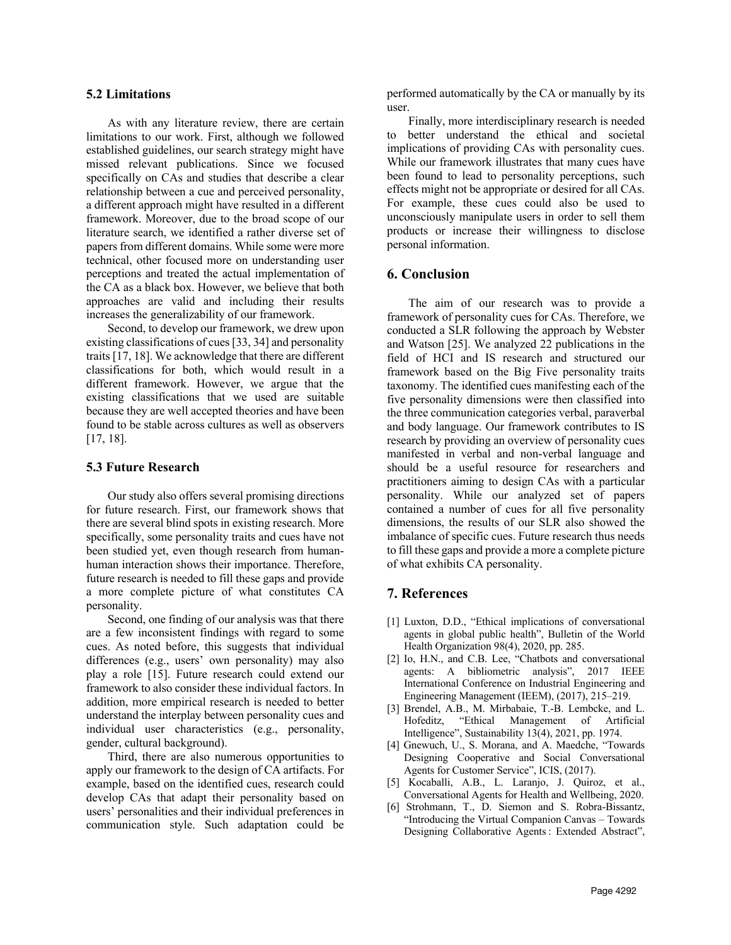#### **5.2 Limitations**

As with any literature review, there are certain limitations to our work. First, although we followed established guidelines, our search strategy might have missed relevant publications. Since we focused specifically on CAs and studies that describe a clear relationship between a cue and perceived personality, a different approach might have resulted in a different framework. Moreover, due to the broad scope of our literature search, we identified a rather diverse set of papers from different domains. While some were more technical, other focused more on understanding user perceptions and treated the actual implementation of the CA as a black box. However, we believe that both approaches are valid and including their results increases the generalizability of our framework.

Second, to develop our framework, we drew upon existing classifications of cues [33, 34] and personality traits [17, 18]. We acknowledge that there are different classifications for both, which would result in a different framework. However, we argue that the existing classifications that we used are suitable because they are well accepted theories and have been found to be stable across cultures as well as observers [17, 18].

#### **5.3 Future Research**

Our study also offers several promising directions for future research. First, our framework shows that there are several blind spots in existing research. More specifically, some personality traits and cues have not been studied yet, even though research from humanhuman interaction shows their importance. Therefore, future research is needed to fill these gaps and provide a more complete picture of what constitutes CA personality.

Second, one finding of our analysis was that there are a few inconsistent findings with regard to some cues. As noted before, this suggests that individual differences (e.g., users' own personality) may also play a role [15]. Future research could extend our framework to also consider these individual factors. In addition, more empirical research is needed to better understand the interplay between personality cues and individual user characteristics (e.g., personality, gender, cultural background).

Third, there are also numerous opportunities to apply our framework to the design of CA artifacts. For example, based on the identified cues, research could develop CAs that adapt their personality based on users' personalities and their individual preferences in communication style. Such adaptation could be

performed automatically by the CA or manually by its user.

Finally, more interdisciplinary research is needed to better understand the ethical and societal implications of providing CAs with personality cues. While our framework illustrates that many cues have been found to lead to personality perceptions, such effects might not be appropriate or desired for all CAs. For example, these cues could also be used to unconsciously manipulate users in order to sell them products or increase their willingness to disclose personal information.

#### **6. Conclusion**

The aim of our research was to provide a framework of personality cues for CAs. Therefore, we conducted a SLR following the approach by Webster and Watson [25]. We analyzed 22 publications in the field of HCI and IS research and structured our framework based on the Big Five personality traits taxonomy. The identified cues manifesting each of the five personality dimensions were then classified into the three communication categories verbal, paraverbal and body language. Our framework contributes to IS research by providing an overview of personality cues manifested in verbal and non-verbal language and should be a useful resource for researchers and practitioners aiming to design CAs with a particular personality. While our analyzed set of papers contained a number of cues for all five personality dimensions, the results of our SLR also showed the imbalance of specific cues. Future research thus needs to fill these gaps and provide a more a complete picture of what exhibits CA personality.

## **7. References**

- [1] Luxton, D.D., "Ethical implications of conversational agents in global public health", Bulletin of the World Health Organization 98(4), 2020, pp. 285.
- [2] Io, H.N., and C.B. Lee, "Chatbots and conversational agents: A bibliometric analysis", 2017 IEEE International Conference on Industrial Engineering and Engineering Management (IEEM), (2017), 215–219.
- [3] Brendel, A.B., M. Mirbabaie, T.-B. Lembcke, and L. Hofeditz, "Ethical Management of Artificial Intelligence", Sustainability 13(4), 2021, pp. 1974.
- [4] Gnewuch, U., S. Morana, and A. Maedche, "Towards Designing Cooperative and Social Conversational Agents for Customer Service", ICIS, (2017).
- [5] Kocaballi, A.B., L. Laranjo, J. Quiroz, et al., Conversational Agents for Health and Wellbeing, 2020.
- [6] Strohmann, T., D. Siemon and S. Robra-Bissantz, "Introducing the Virtual Companion Canvas – Towards Designing Collaborative Agents : Extended Abstract",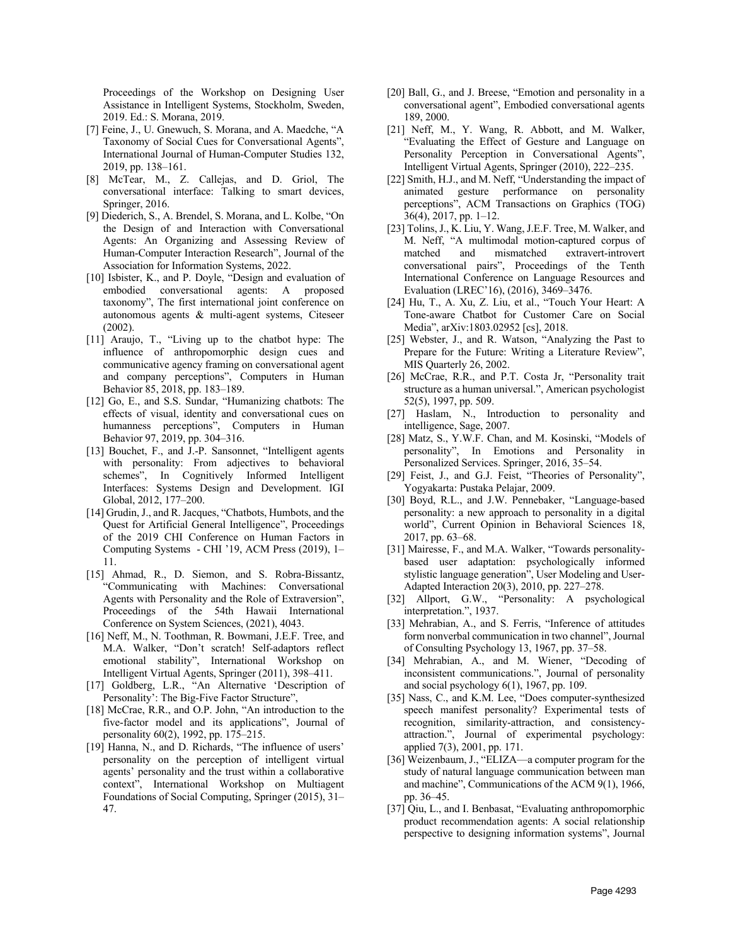Proceedings of the Workshop on Designing User Assistance in Intelligent Systems, Stockholm, Sweden, 2019. Ed.: S. Morana, 2019.

- [7] Feine, J., U. Gnewuch, S. Morana, and A. Maedche, "A Taxonomy of Social Cues for Conversational Agents", International Journal of Human-Computer Studies 132, 2019, pp. 138–161.
- [8] McTear, M., Z. Callejas, and D. Griol, The conversational interface: Talking to smart devices, Springer, 2016.
- [9] Diederich, S., A. Brendel, S. Morana, and L. Kolbe, "On the Design of and Interaction with Conversational Agents: An Organizing and Assessing Review of Human-Computer Interaction Research", Journal of the Association for Information Systems, 2022.
- [10] Isbister, K., and P. Doyle, "Design and evaluation of embodied conversational agents: A proposed taxonomy", The first international joint conference on autonomous agents & multi-agent systems, Citeseer (2002).
- [11] Araujo, T., "Living up to the chatbot hype: The influence of anthropomorphic design cues and communicative agency framing on conversational agent and company perceptions", Computers in Human Behavior 85, 2018, pp. 183–189.
- [12] Go, E., and S.S. Sundar, "Humanizing chatbots: The effects of visual, identity and conversational cues on humanness perceptions", Computers in Human Behavior 97, 2019, pp. 304–316.
- [13] Bouchet, F., and J.-P. Sansonnet, "Intelligent agents" with personality: From adjectives to behavioral schemes", In Cognitively Informed Intelligent Interfaces: Systems Design and Development. IGI Global, 2012, 177–200.
- [14] Grudin, J., and R. Jacques, "Chatbots, Humbots, and the Quest for Artificial General Intelligence", Proceedings of the 2019 CHI Conference on Human Factors in Computing Systems - CHI '19, ACM Press (2019), 1– 11.
- [15] Ahmad, R., D. Siemon, and S. Robra-Bissantz, "Communicating with Machines: Conversational Agents with Personality and the Role of Extraversion", Proceedings of the 54th Hawaii International Conference on System Sciences, (2021), 4043.
- [16] Neff, M., N. Toothman, R. Bowmani, J.E.F. Tree, and M.A. Walker, "Don't scratch! Self-adaptors reflect emotional stability", International Workshop on Intelligent Virtual Agents, Springer (2011), 398–411.
- [17] Goldberg, L.R., "An Alternative 'Description of Personality': The Big-Five Factor Structure",
- [18] McCrae, R.R., and O.P. John, "An introduction to the five-factor model and its applications", Journal of personality 60(2), 1992, pp. 175–215.
- [19] Hanna, N., and D. Richards, "The influence of users' personality on the perception of intelligent virtual agents' personality and the trust within a collaborative context", International Workshop on Multiagent Foundations of Social Computing, Springer (2015), 31– 47.
- [20] Ball, G., and J. Breese, "Emotion and personality in a conversational agent", Embodied conversational agents 189, 2000.
- [21] Neff, M., Y. Wang, R. Abbott, and M. Walker, "Evaluating the Effect of Gesture and Language on Personality Perception in Conversational Agents", Intelligent Virtual Agents, Springer (2010), 222–235.
- [22] Smith, H.J., and M. Neff, "Understanding the impact of animated gesture performance on personality perceptions", ACM Transactions on Graphics (TOG) 36(4), 2017, pp. 1–12.
- [23] Tolins, J., K. Liu, Y. Wang, J.E.F. Tree, M. Walker, and M. Neff, "A multimodal motion-captured corpus of matched and mismatched extravert-introvert conversational pairs", Proceedings of the Tenth International Conference on Language Resources and Evaluation (LREC'16), (2016), 3469–3476.
- [24] Hu, T., A. Xu, Z. Liu, et al., "Touch Your Heart: A Tone-aware Chatbot for Customer Care on Social Media", arXiv:1803.02952 [cs], 2018.
- [25] Webster, J., and R. Watson, "Analyzing the Past to Prepare for the Future: Writing a Literature Review", MIS Quarterly 26, 2002.
- [26] McCrae, R.R., and P.T. Costa Jr, "Personality trait structure as a human universal.", American psychologist 52(5), 1997, pp. 509.
- [27] Haslam, N., Introduction to personality and intelligence, Sage, 2007.
- [28] Matz, S., Y.W.F. Chan, and M. Kosinski, "Models of personality", In Emotions and Personality in Personalized Services. Springer, 2016, 35–54.
- [29] Feist, J., and G.J. Feist, "Theories of Personality", Yogyakarta: Pustaka Pelajar, 2009.
- [30] Boyd, R.L., and J.W. Pennebaker, "Language-based personality: a new approach to personality in a digital world", Current Opinion in Behavioral Sciences 18, 2017, pp. 63–68.
- [31] Mairesse, F., and M.A. Walker, "Towards personalitybased user adaptation: psychologically informed stylistic language generation", User Modeling and User-Adapted Interaction 20(3), 2010, pp. 227–278.
- [32] Allport, G.W., "Personality: A psychological interpretation.", 1937.
- [33] Mehrabian, A., and S. Ferris, "Inference of attitudes form nonverbal communication in two channel", Journal of Consulting Psychology 13, 1967, pp. 37–58.
- [34] Mehrabian, A., and M. Wiener, "Decoding of inconsistent communications.", Journal of personality and social psychology  $6(1)$ , 1967, pp. 109.
- [35] Nass, C., and K.M. Lee, "Does computer-synthesized speech manifest personality? Experimental tests of recognition, similarity-attraction, and consistencyattraction.", Journal of experimental psychology: applied 7(3), 2001, pp. 171.
- [36] Weizenbaum, J., "ELIZA—a computer program for the study of natural language communication between man and machine", Communications of the ACM 9(1), 1966, pp. 36–45.
- [37] Qiu, L., and I. Benbasat, "Evaluating anthropomorphic product recommendation agents: A social relationship perspective to designing information systems", Journal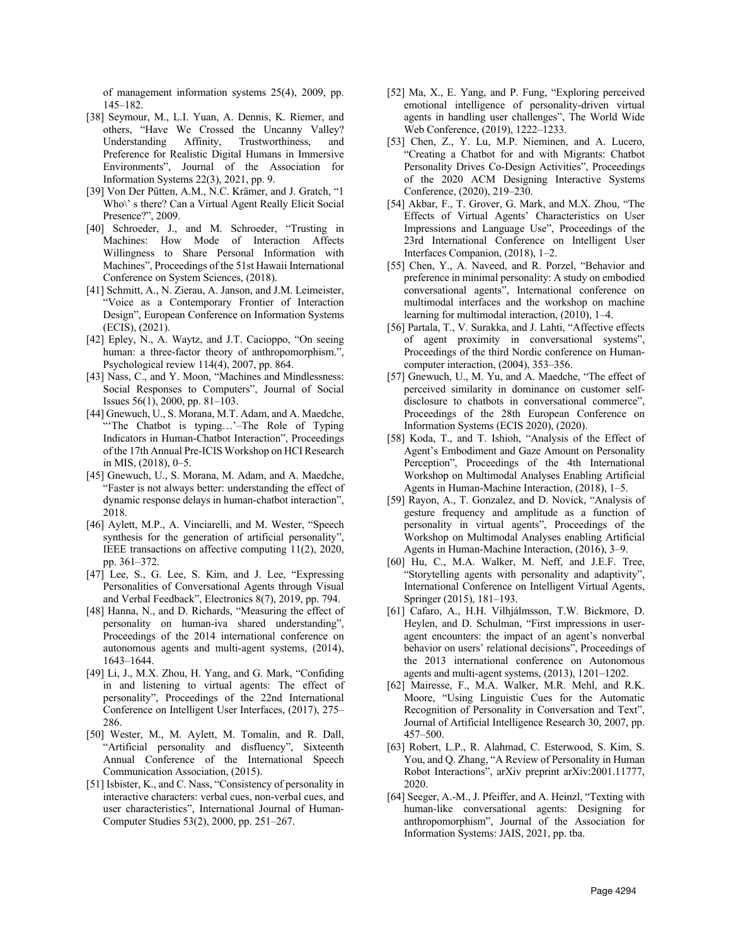of management information systems 25(4), 2009, pp. 145–182.

- [38] Seymour, M., L.I. Yuan, A. Dennis, K. Riemer, and others, "Have We Crossed the Uncanny Valley? Understanding Affinity, Trustworthiness, and Preference for Realistic Digital Humans in Immersive Environments", Journal of the Association for Information Systems 22(3), 2021, pp. 9.
- [39] Von Der Pütten, A.M., N.C. Krämer, and J. Gratch, "1 Who\' s there? Can a Virtual Agent Really Elicit Social Presence?", 2009.
- [40] Schroeder, J., and M. Schroeder, "Trusting in Machines: How Mode of Interaction Affects Willingness to Share Personal Information with Machines", Proceedings of the 51st Hawaii International Conference on System Sciences, (2018).
- [41] Schmitt, A., N. Zierau, A. Janson, and J.M. Leimeister, "Voice as a Contemporary Frontier of Interaction Design", European Conference on Information Systems (ECIS), (2021).
- [42] Epley, N., A. Waytz, and J.T. Cacioppo, "On seeing human: a three-factor theory of anthropomorphism.", Psychological review 114(4), 2007, pp. 864.
- [43] Nass, C., and Y. Moon, "Machines and Mindlessness: Social Responses to Computers", Journal of Social Issues 56(1), 2000, pp. 81–103.
- [44] Gnewuch, U., S. Morana, M.T. Adam, and A. Maedche, "The Chatbot is typing...'-The Role of Typing Indicators in Human-Chatbot Interaction", Proceedings of the 17th Annual Pre-ICIS Workshop on HCI Research in MIS, (2018), 0–5.
- [45] Gnewuch, U., S. Morana, M. Adam, and A. Maedche, "Faster is not always better: understanding the effect of dynamic response delays in human-chatbot interaction", 2018.
- [46] Aylett, M.P., A. Vinciarelli, and M. Wester, "Speech synthesis for the generation of artificial personality", IEEE transactions on affective computing 11(2), 2020, pp. 361–372.
- [47] Lee, S., G. Lee, S. Kim, and J. Lee, "Expressing Personalities of Conversational Agents through Visual and Verbal Feedback", Electronics 8(7), 2019, pp. 794.
- [48] Hanna, N., and D. Richards, "Measuring the effect of personality on human-iva shared understanding", Proceedings of the 2014 international conference on autonomous agents and multi-agent systems, (2014), 1643–1644.
- [49] Li, J., M.X. Zhou, H. Yang, and G. Mark, "Confiding in and listening to virtual agents: The effect of personality", Proceedings of the 22nd International Conference on Intelligent User Interfaces, (2017), 275– 286.
- [50] Wester, M., M. Aylett, M. Tomalin, and R. Dall, "Artificial personality and disfluency", Sixteenth Annual Conference of the International Speech Communication Association, (2015).
- [51] Isbister, K., and C. Nass, "Consistency of personality in interactive characters: verbal cues, non-verbal cues, and user characteristics", International Journal of Human-Computer Studies 53(2), 2000, pp. 251–267.
- [52] Ma, X., E. Yang, and P. Fung, "Exploring perceived emotional intelligence of personality-driven virtual agents in handling user challenges", The World Wide Web Conference, (2019), 1222–1233.
- [53] Chen, Z., Y. Lu, M.P. Nieminen, and A. Lucero, "Creating a Chatbot for and with Migrants: Chatbot Personality Drives Co-Design Activities", Proceedings of the 2020 ACM Designing Interactive Systems Conference, (2020), 219–230.
- [54] Akbar, F., T. Grover, G. Mark, and M.X. Zhou, "The Effects of Virtual Agents' Characteristics on User Impressions and Language Use", Proceedings of the 23rd International Conference on Intelligent User Interfaces Companion, (2018), 1–2.
- [55] Chen, Y., A. Naveed, and R. Porzel, "Behavior and preference in minimal personality: A study on embodied conversational agents", International conference on multimodal interfaces and the workshop on machine learning for multimodal interaction, (2010), 1–4.
- [56] Partala, T., V. Surakka, and J. Lahti, "Affective effects of agent proximity in conversational systems", Proceedings of the third Nordic conference on Humancomputer interaction, (2004), 353–356.
- [57] Gnewuch, U., M. Yu, and A. Maedche, "The effect of perceived similarity in dominance on customer selfdisclosure to chatbots in conversational commerce", Proceedings of the 28th European Conference on Information Systems (ECIS 2020), (2020).
- [58] Koda, T., and T. Ishioh, "Analysis of the Effect of Agent's Embodiment and Gaze Amount on Personality Perception", Proceedings of the 4th International Workshop on Multimodal Analyses Enabling Artificial Agents in Human-Machine Interaction, (2018), 1–5.
- [59] Rayon, A., T. Gonzalez, and D. Novick, "Analysis of gesture frequency and amplitude as a function of personality in virtual agents", Proceedings of the Workshop on Multimodal Analyses enabling Artificial Agents in Human-Machine Interaction, (2016), 3–9.
- [60] Hu, C., M.A. Walker, M. Neff, and J.E.F. Tree, "Storytelling agents with personality and adaptivity", International Conference on Intelligent Virtual Agents, Springer (2015), 181–193.
- [61] Cafaro, A., H.H. Vilhjálmsson, T.W. Bickmore, D. Heylen, and D. Schulman, "First impressions in useragent encounters: the impact of an agent's nonverbal behavior on users' relational decisions", Proceedings of the 2013 international conference on Autonomous agents and multi-agent systems, (2013), 1201–1202.
- [62] Mairesse, F., M.A. Walker, M.R. Mehl, and R.K. Moore, "Using Linguistic Cues for the Automatic Recognition of Personality in Conversation and Text", Journal of Artificial Intelligence Research 30, 2007, pp. 457–500.
- [63] Robert, L.P., R. Alahmad, C. Esterwood, S. Kim, S. You, and Q. Zhang, "A Review of Personality in Human Robot Interactions", arXiv preprint arXiv:2001.11777, 2020.
- [64] Seeger, A.-M., J. Pfeiffer, and A. Heinzl, "Texting with human-like conversational agents: Designing for anthropomorphism", Journal of the Association for Information Systems: JAIS, 2021, pp. tba.